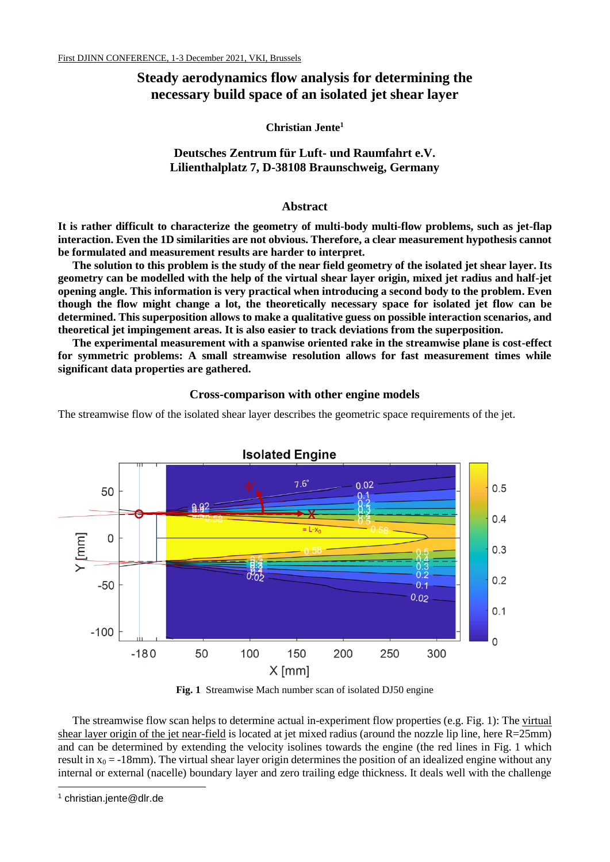# **Steady aerodynamics flow analysis for determining the necessary build space of an isolated jet shear layer**

**Christian Jente<sup>1</sup>**

## **Deutsches Zentrum für Luft- und Raumfahrt e.V. Lilienthalplatz 7, D-38108 Braunschweig, Germany**

## **Abstract**

**It is rather difficult to characterize the geometry of multi-body multi-flow problems, such as jet-flap interaction. Even the 1D similarities are not obvious. Therefore, a clear measurement hypothesis cannot be formulated and measurement results are harder to interpret.** 

**The solution to this problem is the study of the near field geometry of the isolated jet shear layer. Its geometry can be modelled with the help of the virtual shear layer origin, mixed jet radius and half-jet opening angle. This information is very practical when introducing a second body to the problem. Even though the flow might change a lot, the theoretically necessary space for isolated jet flow can be determined. This superposition allows to make a qualitative guess on possible interaction scenarios, and theoretical jet impingement areas. It is also easier to track deviations from the superposition.**

**The experimental measurement with a spanwise oriented rake in the streamwise plane is cost-effect for symmetric problems: A small streamwise resolution allows for fast measurement times while significant data properties are gathered.**

## **Cross-comparison with other engine models**

The streamwise flow of the isolated shear layer describes the geometric space requirements of the jet.



**Fig. 1** Streamwise Mach number scan of isolated DJ50 engine

The streamwise flow scan helps to determine actual in-experiment flow properties (e.g. Fig. 1): The virtual shear layer origin of the jet near-field is located at jet mixed radius (around the nozzle lip line, here R=25mm) and can be determined by extending the velocity isolines towards the engine (the red lines in Fig. 1 which result in  $x_0 = -18$ mm). The virtual shear layer origin determines the position of an idealized engine without any internal or external (nacelle) boundary layer and zero trailing edge thickness. It deals well with the challenge

-

<sup>1</sup> christian.jente@dlr.de